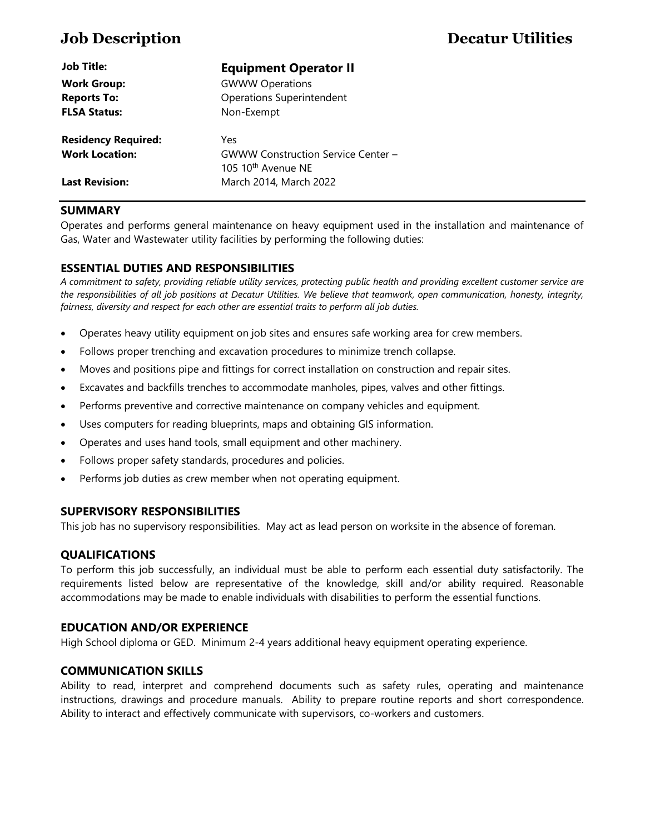| <b>Job Title:</b>          | <b>Equipment Operator II</b>                                                |
|----------------------------|-----------------------------------------------------------------------------|
| <b>Work Group:</b>         | <b>GWWW Operations</b>                                                      |
| <b>Reports To:</b>         | <b>Operations Superintendent</b>                                            |
| <b>FLSA Status:</b>        | Non-Exempt                                                                  |
| <b>Residency Required:</b> | Yes                                                                         |
| <b>Work Location:</b>      | <b>GWWW Construction Service Center -</b><br>105 10 <sup>th</sup> Avenue NE |
| <b>Last Revision:</b>      | March 2014, March 2022                                                      |

# **SUMMARY**

Operates and performs general maintenance on heavy equipment used in the installation and maintenance of Gas, Water and Wastewater utility facilities by performing the following duties:

# **ESSENTIAL DUTIES AND RESPONSIBILITIES**

*A commitment to safety, providing reliable utility services, protecting public health and providing excellent customer service are the responsibilities of all job positions at Decatur Utilities. We believe that teamwork, open communication, honesty, integrity, fairness, diversity and respect for each other are essential traits to perform all job duties.*

- Operates heavy utility equipment on job sites and ensures safe working area for crew members.
- Follows proper trenching and excavation procedures to minimize trench collapse.
- Moves and positions pipe and fittings for correct installation on construction and repair sites.
- Excavates and backfills trenches to accommodate manholes, pipes, valves and other fittings.
- Performs preventive and corrective maintenance on company vehicles and equipment.
- Uses computers for reading blueprints, maps and obtaining GIS information.
- Operates and uses hand tools, small equipment and other machinery.
- Follows proper safety standards, procedures and policies.
- Performs job duties as crew member when not operating equipment.

# **SUPERVISORY RESPONSIBILITIES**

This job has no supervisory responsibilities. May act as lead person on worksite in the absence of foreman.

# **QUALIFICATIONS**

To perform this job successfully, an individual must be able to perform each essential duty satisfactorily. The requirements listed below are representative of the knowledge, skill and/or ability required. Reasonable accommodations may be made to enable individuals with disabilities to perform the essential functions.

# **EDUCATION AND/OR EXPERIENCE**

High School diploma or GED. Minimum 2-4 years additional heavy equipment operating experience.

# **COMMUNICATION SKILLS**

Ability to read, interpret and comprehend documents such as safety rules, operating and maintenance instructions, drawings and procedure manuals. Ability to prepare routine reports and short correspondence. Ability to interact and effectively communicate with supervisors, co-workers and customers.